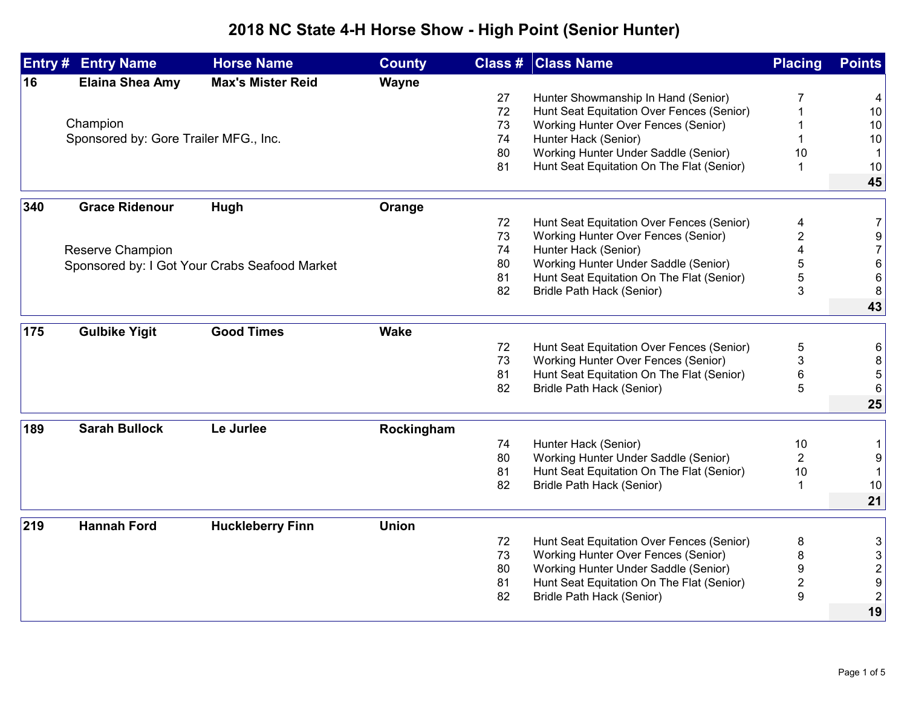## **2018 NC State 4-H Horse Show - High Point (Senior Hunter)**

| <b>Max's Mister Reid</b><br><b>Elaina Shea Amy</b><br>16<br>Wayne<br>Hunter Showmanship In Hand (Senior)<br>27<br>4<br>7<br>72<br>Hunt Seat Equitation Over Fences (Senior)<br>10<br>Champion<br>73<br>Working Hunter Over Fences (Senior)<br>10<br>Sponsored by: Gore Trailer MFG., Inc.<br>74<br>Hunter Hack (Senior)<br>10<br>Working Hunter Under Saddle (Senior)<br>80<br>10<br>-1<br>81<br>Hunt Seat Equitation On The Flat (Senior)<br>10<br>-1<br>45<br>340<br><b>Grace Ridenour</b><br>Hugh<br>Orange<br>72<br>Hunt Seat Equitation Over Fences (Senior)<br>$\overline{7}$<br>4<br>73<br>2<br><b>Working Hunter Over Fences (Senior)</b><br>9<br>74<br>Hunter Hack (Senior)<br>$\overline{7}$<br>Reserve Champion<br>5<br>80<br>Working Hunter Under Saddle (Senior)<br>6<br>Sponsored by: I Got Your Crabs Seafood Market<br>5<br>81<br>Hunt Seat Equitation On The Flat (Senior)<br>6<br>3<br>82<br>Bridle Path Hack (Senior)<br>8<br>43<br><b>Good Times</b><br><b>Wake</b><br>175<br><b>Gulbike Yigit</b><br>5<br>72<br>Hunt Seat Equitation Over Fences (Senior)<br>6<br>73<br>Working Hunter Over Fences (Senior)<br>3<br>8<br>81<br>Hunt Seat Equitation On The Flat (Senior)<br>6<br>5<br>82<br>5<br>Bridle Path Hack (Senior)<br>6<br>25<br>189<br><b>Sarah Bullock</b><br>Le Jurlee<br>Rockingham<br>74<br>Hunter Hack (Senior)<br>10<br>$\mathbf 1$<br>Working Hunter Under Saddle (Senior)<br>80<br>$\overline{2}$<br>9<br>Hunt Seat Equitation On The Flat (Senior)<br>81<br>10<br>82<br>Bridle Path Hack (Senior)<br>10<br>-1<br>21<br><b>Hannah Ford</b><br><b>Huckleberry Finn</b><br><b>Union</b><br>219<br>Hunt Seat Equitation Over Fences (Senior)<br>72<br>8<br>3<br>8<br>73<br><b>Working Hunter Over Fences (Senior)</b><br>3<br>Working Hunter Under Saddle (Senior)<br>$\boldsymbol{9}$<br>$\mathbf 2$<br>80<br>Hunt Seat Equitation On The Flat (Senior)<br>$\overline{\mathbf{c}}$<br>$\boldsymbol{9}$<br>81<br>$\boldsymbol{9}$<br>$\overline{2}$<br>82<br>Bridle Path Hack (Senior)<br>19 | Entry# | <b>Entry Name</b> | <b>Horse Name</b> | <b>County</b> | <b>Class # Class Name</b> | <b>Placing</b> | <b>Points</b> |
|---------------------------------------------------------------------------------------------------------------------------------------------------------------------------------------------------------------------------------------------------------------------------------------------------------------------------------------------------------------------------------------------------------------------------------------------------------------------------------------------------------------------------------------------------------------------------------------------------------------------------------------------------------------------------------------------------------------------------------------------------------------------------------------------------------------------------------------------------------------------------------------------------------------------------------------------------------------------------------------------------------------------------------------------------------------------------------------------------------------------------------------------------------------------------------------------------------------------------------------------------------------------------------------------------------------------------------------------------------------------------------------------------------------------------------------------------------------------------------------------------------------------------------------------------------------------------------------------------------------------------------------------------------------------------------------------------------------------------------------------------------------------------------------------------------------------------------------------------------------------------------------------------------------------------------------------------------------------------------------------------------------------------------|--------|-------------------|-------------------|---------------|---------------------------|----------------|---------------|
|                                                                                                                                                                                                                                                                                                                                                                                                                                                                                                                                                                                                                                                                                                                                                                                                                                                                                                                                                                                                                                                                                                                                                                                                                                                                                                                                                                                                                                                                                                                                                                                                                                                                                                                                                                                                                                                                                                                                                                                                                                 |        |                   |                   |               |                           |                |               |
|                                                                                                                                                                                                                                                                                                                                                                                                                                                                                                                                                                                                                                                                                                                                                                                                                                                                                                                                                                                                                                                                                                                                                                                                                                                                                                                                                                                                                                                                                                                                                                                                                                                                                                                                                                                                                                                                                                                                                                                                                                 |        |                   |                   |               |                           |                |               |
|                                                                                                                                                                                                                                                                                                                                                                                                                                                                                                                                                                                                                                                                                                                                                                                                                                                                                                                                                                                                                                                                                                                                                                                                                                                                                                                                                                                                                                                                                                                                                                                                                                                                                                                                                                                                                                                                                                                                                                                                                                 |        |                   |                   |               |                           |                |               |
|                                                                                                                                                                                                                                                                                                                                                                                                                                                                                                                                                                                                                                                                                                                                                                                                                                                                                                                                                                                                                                                                                                                                                                                                                                                                                                                                                                                                                                                                                                                                                                                                                                                                                                                                                                                                                                                                                                                                                                                                                                 |        |                   |                   |               |                           |                |               |
|                                                                                                                                                                                                                                                                                                                                                                                                                                                                                                                                                                                                                                                                                                                                                                                                                                                                                                                                                                                                                                                                                                                                                                                                                                                                                                                                                                                                                                                                                                                                                                                                                                                                                                                                                                                                                                                                                                                                                                                                                                 |        |                   |                   |               |                           |                |               |
|                                                                                                                                                                                                                                                                                                                                                                                                                                                                                                                                                                                                                                                                                                                                                                                                                                                                                                                                                                                                                                                                                                                                                                                                                                                                                                                                                                                                                                                                                                                                                                                                                                                                                                                                                                                                                                                                                                                                                                                                                                 |        |                   |                   |               |                           |                |               |
|                                                                                                                                                                                                                                                                                                                                                                                                                                                                                                                                                                                                                                                                                                                                                                                                                                                                                                                                                                                                                                                                                                                                                                                                                                                                                                                                                                                                                                                                                                                                                                                                                                                                                                                                                                                                                                                                                                                                                                                                                                 |        |                   |                   |               |                           |                |               |
|                                                                                                                                                                                                                                                                                                                                                                                                                                                                                                                                                                                                                                                                                                                                                                                                                                                                                                                                                                                                                                                                                                                                                                                                                                                                                                                                                                                                                                                                                                                                                                                                                                                                                                                                                                                                                                                                                                                                                                                                                                 |        |                   |                   |               |                           |                |               |
|                                                                                                                                                                                                                                                                                                                                                                                                                                                                                                                                                                                                                                                                                                                                                                                                                                                                                                                                                                                                                                                                                                                                                                                                                                                                                                                                                                                                                                                                                                                                                                                                                                                                                                                                                                                                                                                                                                                                                                                                                                 |        |                   |                   |               |                           |                |               |
|                                                                                                                                                                                                                                                                                                                                                                                                                                                                                                                                                                                                                                                                                                                                                                                                                                                                                                                                                                                                                                                                                                                                                                                                                                                                                                                                                                                                                                                                                                                                                                                                                                                                                                                                                                                                                                                                                                                                                                                                                                 |        |                   |                   |               |                           |                |               |
|                                                                                                                                                                                                                                                                                                                                                                                                                                                                                                                                                                                                                                                                                                                                                                                                                                                                                                                                                                                                                                                                                                                                                                                                                                                                                                                                                                                                                                                                                                                                                                                                                                                                                                                                                                                                                                                                                                                                                                                                                                 |        |                   |                   |               |                           |                |               |
|                                                                                                                                                                                                                                                                                                                                                                                                                                                                                                                                                                                                                                                                                                                                                                                                                                                                                                                                                                                                                                                                                                                                                                                                                                                                                                                                                                                                                                                                                                                                                                                                                                                                                                                                                                                                                                                                                                                                                                                                                                 |        |                   |                   |               |                           |                |               |
|                                                                                                                                                                                                                                                                                                                                                                                                                                                                                                                                                                                                                                                                                                                                                                                                                                                                                                                                                                                                                                                                                                                                                                                                                                                                                                                                                                                                                                                                                                                                                                                                                                                                                                                                                                                                                                                                                                                                                                                                                                 |        |                   |                   |               |                           |                |               |
|                                                                                                                                                                                                                                                                                                                                                                                                                                                                                                                                                                                                                                                                                                                                                                                                                                                                                                                                                                                                                                                                                                                                                                                                                                                                                                                                                                                                                                                                                                                                                                                                                                                                                                                                                                                                                                                                                                                                                                                                                                 |        |                   |                   |               |                           |                |               |
|                                                                                                                                                                                                                                                                                                                                                                                                                                                                                                                                                                                                                                                                                                                                                                                                                                                                                                                                                                                                                                                                                                                                                                                                                                                                                                                                                                                                                                                                                                                                                                                                                                                                                                                                                                                                                                                                                                                                                                                                                                 |        |                   |                   |               |                           |                |               |
|                                                                                                                                                                                                                                                                                                                                                                                                                                                                                                                                                                                                                                                                                                                                                                                                                                                                                                                                                                                                                                                                                                                                                                                                                                                                                                                                                                                                                                                                                                                                                                                                                                                                                                                                                                                                                                                                                                                                                                                                                                 |        |                   |                   |               |                           |                |               |
|                                                                                                                                                                                                                                                                                                                                                                                                                                                                                                                                                                                                                                                                                                                                                                                                                                                                                                                                                                                                                                                                                                                                                                                                                                                                                                                                                                                                                                                                                                                                                                                                                                                                                                                                                                                                                                                                                                                                                                                                                                 |        |                   |                   |               |                           |                |               |
|                                                                                                                                                                                                                                                                                                                                                                                                                                                                                                                                                                                                                                                                                                                                                                                                                                                                                                                                                                                                                                                                                                                                                                                                                                                                                                                                                                                                                                                                                                                                                                                                                                                                                                                                                                                                                                                                                                                                                                                                                                 |        |                   |                   |               |                           |                |               |
|                                                                                                                                                                                                                                                                                                                                                                                                                                                                                                                                                                                                                                                                                                                                                                                                                                                                                                                                                                                                                                                                                                                                                                                                                                                                                                                                                                                                                                                                                                                                                                                                                                                                                                                                                                                                                                                                                                                                                                                                                                 |        |                   |                   |               |                           |                |               |
|                                                                                                                                                                                                                                                                                                                                                                                                                                                                                                                                                                                                                                                                                                                                                                                                                                                                                                                                                                                                                                                                                                                                                                                                                                                                                                                                                                                                                                                                                                                                                                                                                                                                                                                                                                                                                                                                                                                                                                                                                                 |        |                   |                   |               |                           |                |               |
|                                                                                                                                                                                                                                                                                                                                                                                                                                                                                                                                                                                                                                                                                                                                                                                                                                                                                                                                                                                                                                                                                                                                                                                                                                                                                                                                                                                                                                                                                                                                                                                                                                                                                                                                                                                                                                                                                                                                                                                                                                 |        |                   |                   |               |                           |                |               |
|                                                                                                                                                                                                                                                                                                                                                                                                                                                                                                                                                                                                                                                                                                                                                                                                                                                                                                                                                                                                                                                                                                                                                                                                                                                                                                                                                                                                                                                                                                                                                                                                                                                                                                                                                                                                                                                                                                                                                                                                                                 |        |                   |                   |               |                           |                |               |
|                                                                                                                                                                                                                                                                                                                                                                                                                                                                                                                                                                                                                                                                                                                                                                                                                                                                                                                                                                                                                                                                                                                                                                                                                                                                                                                                                                                                                                                                                                                                                                                                                                                                                                                                                                                                                                                                                                                                                                                                                                 |        |                   |                   |               |                           |                |               |
|                                                                                                                                                                                                                                                                                                                                                                                                                                                                                                                                                                                                                                                                                                                                                                                                                                                                                                                                                                                                                                                                                                                                                                                                                                                                                                                                                                                                                                                                                                                                                                                                                                                                                                                                                                                                                                                                                                                                                                                                                                 |        |                   |                   |               |                           |                |               |
|                                                                                                                                                                                                                                                                                                                                                                                                                                                                                                                                                                                                                                                                                                                                                                                                                                                                                                                                                                                                                                                                                                                                                                                                                                                                                                                                                                                                                                                                                                                                                                                                                                                                                                                                                                                                                                                                                                                                                                                                                                 |        |                   |                   |               |                           |                |               |
|                                                                                                                                                                                                                                                                                                                                                                                                                                                                                                                                                                                                                                                                                                                                                                                                                                                                                                                                                                                                                                                                                                                                                                                                                                                                                                                                                                                                                                                                                                                                                                                                                                                                                                                                                                                                                                                                                                                                                                                                                                 |        |                   |                   |               |                           |                |               |
|                                                                                                                                                                                                                                                                                                                                                                                                                                                                                                                                                                                                                                                                                                                                                                                                                                                                                                                                                                                                                                                                                                                                                                                                                                                                                                                                                                                                                                                                                                                                                                                                                                                                                                                                                                                                                                                                                                                                                                                                                                 |        |                   |                   |               |                           |                |               |
|                                                                                                                                                                                                                                                                                                                                                                                                                                                                                                                                                                                                                                                                                                                                                                                                                                                                                                                                                                                                                                                                                                                                                                                                                                                                                                                                                                                                                                                                                                                                                                                                                                                                                                                                                                                                                                                                                                                                                                                                                                 |        |                   |                   |               |                           |                |               |
|                                                                                                                                                                                                                                                                                                                                                                                                                                                                                                                                                                                                                                                                                                                                                                                                                                                                                                                                                                                                                                                                                                                                                                                                                                                                                                                                                                                                                                                                                                                                                                                                                                                                                                                                                                                                                                                                                                                                                                                                                                 |        |                   |                   |               |                           |                |               |
|                                                                                                                                                                                                                                                                                                                                                                                                                                                                                                                                                                                                                                                                                                                                                                                                                                                                                                                                                                                                                                                                                                                                                                                                                                                                                                                                                                                                                                                                                                                                                                                                                                                                                                                                                                                                                                                                                                                                                                                                                                 |        |                   |                   |               |                           |                |               |
|                                                                                                                                                                                                                                                                                                                                                                                                                                                                                                                                                                                                                                                                                                                                                                                                                                                                                                                                                                                                                                                                                                                                                                                                                                                                                                                                                                                                                                                                                                                                                                                                                                                                                                                                                                                                                                                                                                                                                                                                                                 |        |                   |                   |               |                           |                |               |
|                                                                                                                                                                                                                                                                                                                                                                                                                                                                                                                                                                                                                                                                                                                                                                                                                                                                                                                                                                                                                                                                                                                                                                                                                                                                                                                                                                                                                                                                                                                                                                                                                                                                                                                                                                                                                                                                                                                                                                                                                                 |        |                   |                   |               |                           |                |               |
|                                                                                                                                                                                                                                                                                                                                                                                                                                                                                                                                                                                                                                                                                                                                                                                                                                                                                                                                                                                                                                                                                                                                                                                                                                                                                                                                                                                                                                                                                                                                                                                                                                                                                                                                                                                                                                                                                                                                                                                                                                 |        |                   |                   |               |                           |                |               |
|                                                                                                                                                                                                                                                                                                                                                                                                                                                                                                                                                                                                                                                                                                                                                                                                                                                                                                                                                                                                                                                                                                                                                                                                                                                                                                                                                                                                                                                                                                                                                                                                                                                                                                                                                                                                                                                                                                                                                                                                                                 |        |                   |                   |               |                           |                |               |
|                                                                                                                                                                                                                                                                                                                                                                                                                                                                                                                                                                                                                                                                                                                                                                                                                                                                                                                                                                                                                                                                                                                                                                                                                                                                                                                                                                                                                                                                                                                                                                                                                                                                                                                                                                                                                                                                                                                                                                                                                                 |        |                   |                   |               |                           |                |               |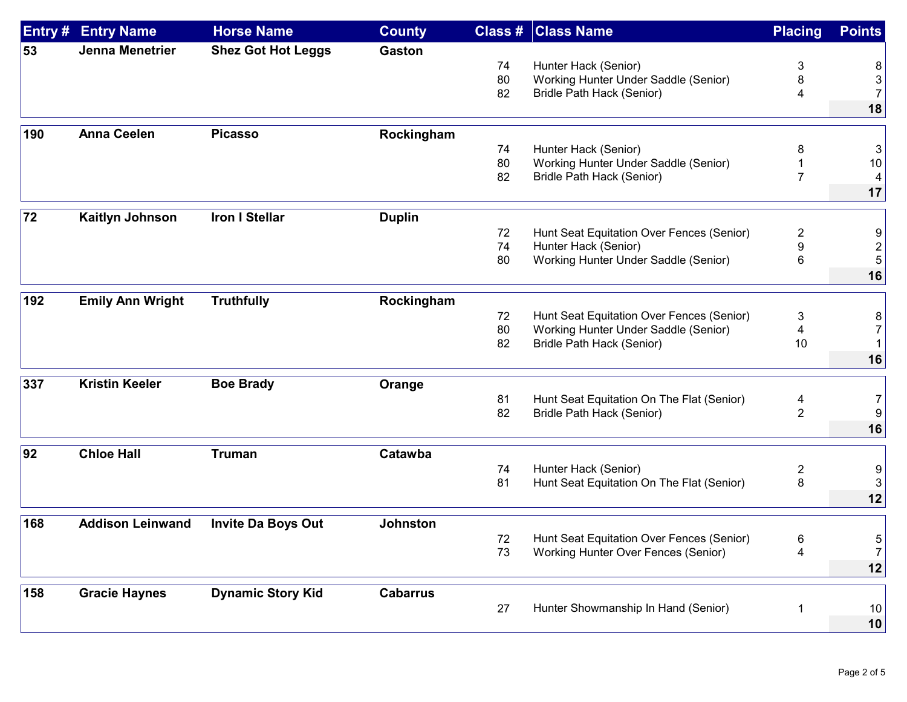| Entry # | <b>Entry Name</b>       | <b>Horse Name</b>         | <b>County</b>   |    | <b>Class # Class Name</b>                  | <b>Placing</b> | <b>Points</b>  |
|---------|-------------------------|---------------------------|-----------------|----|--------------------------------------------|----------------|----------------|
| 53      | <b>Jenna Menetrier</b>  | <b>Shez Got Hot Leggs</b> | <b>Gaston</b>   |    |                                            |                |                |
|         |                         |                           |                 | 74 | Hunter Hack (Senior)                       | 3              | 8              |
|         |                         |                           |                 | 80 | Working Hunter Under Saddle (Senior)       | 8              | 3              |
|         |                         |                           |                 | 82 | Bridle Path Hack (Senior)                  | 4              | $\overline{7}$ |
|         |                         |                           |                 |    |                                            |                | 18             |
| 190     | <b>Anna Ceelen</b>      | <b>Picasso</b>            | Rockingham      |    |                                            |                |                |
|         |                         |                           |                 | 74 | Hunter Hack (Senior)                       | 8              | 3              |
|         |                         |                           |                 | 80 | Working Hunter Under Saddle (Senior)       |                | 10             |
|         |                         |                           |                 | 82 | Bridle Path Hack (Senior)                  | $\overline{7}$ | 4              |
|         |                         |                           |                 |    |                                            |                | 17             |
| 72      | <b>Kaitlyn Johnson</b>  | <b>Iron I Stellar</b>     | <b>Duplin</b>   |    |                                            |                |                |
|         |                         |                           |                 | 72 | Hunt Seat Equitation Over Fences (Senior)  | $\overline{c}$ | 9              |
|         |                         |                           |                 | 74 | Hunter Hack (Senior)                       | 9              | 2              |
|         |                         |                           |                 | 80 | Working Hunter Under Saddle (Senior)       | 6              | 5              |
|         |                         |                           |                 |    |                                            |                | 16             |
| 192     | <b>Emily Ann Wright</b> | <b>Truthfully</b>         | Rockingham      |    |                                            |                |                |
|         |                         |                           |                 | 72 | Hunt Seat Equitation Over Fences (Senior)  | 3              | 8              |
|         |                         |                           |                 | 80 | Working Hunter Under Saddle (Senior)       | 4              |                |
|         |                         |                           |                 | 82 | Bridle Path Hack (Senior)                  | 10             |                |
|         |                         |                           |                 |    |                                            |                | 16             |
| 337     | <b>Kristin Keeler</b>   | <b>Boe Brady</b>          | Orange          |    |                                            |                |                |
|         |                         |                           |                 | 81 | Hunt Seat Equitation On The Flat (Senior)  | 4              | 7              |
|         |                         |                           |                 | 82 | Bridle Path Hack (Senior)                  | $\overline{2}$ | 9              |
|         |                         |                           |                 |    |                                            |                | 16             |
| 92      | <b>Chloe Hall</b>       | <b>Truman</b>             | Catawba         |    |                                            |                |                |
|         |                         |                           |                 | 74 | Hunter Hack (Senior)                       | $\overline{c}$ | 9              |
|         |                         |                           |                 | 81 | Hunt Seat Equitation On The Flat (Senior)  | 8              | 3              |
|         |                         |                           |                 |    |                                            |                | 12             |
| 168     | <b>Addison Leinwand</b> | <b>Invite Da Boys Out</b> | <b>Johnston</b> |    |                                            |                |                |
|         |                         |                           |                 | 72 | Hunt Seat Equitation Over Fences (Senior)  | 6              | 5              |
|         |                         |                           |                 | 73 | <b>Working Hunter Over Fences (Senior)</b> | 4              | 7              |
|         |                         |                           |                 |    |                                            |                | 12             |
|         |                         |                           |                 |    |                                            |                |                |
| 158     | <b>Gracie Haynes</b>    | <b>Dynamic Story Kid</b>  | <b>Cabarrus</b> |    |                                            |                |                |
|         |                         |                           |                 | 27 | Hunter Showmanship In Hand (Senior)        | 1              | 10             |
|         |                         |                           |                 |    |                                            |                | 10             |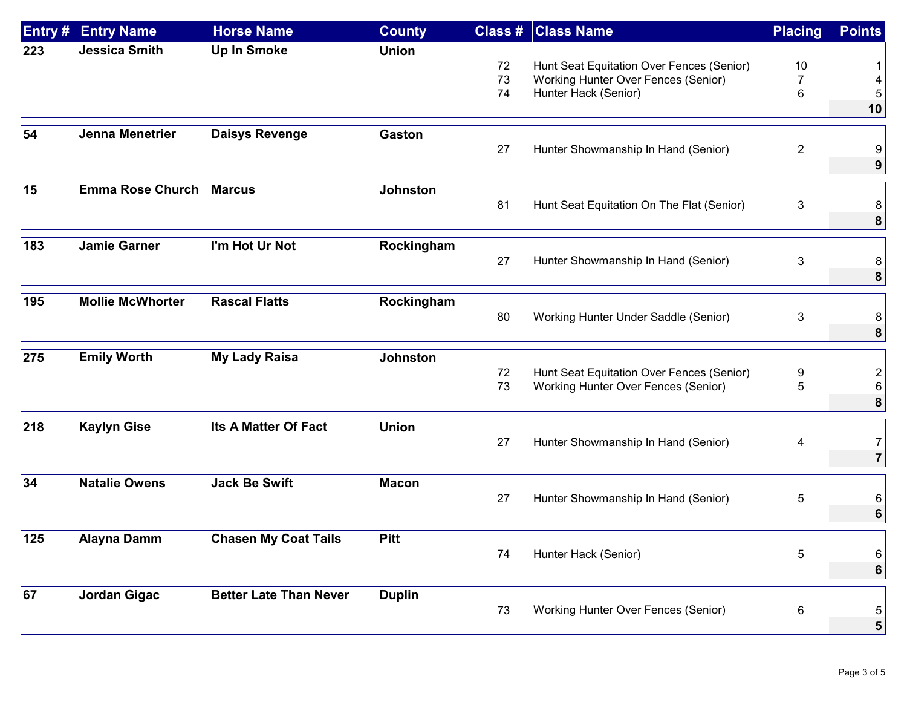| Entry # | <b>Entry Name</b>       | <b>Horse Name</b>             | <b>County</b>   |    | <b>Class # Class Name</b>                  | <b>Placing</b> | <b>Points</b>  |
|---------|-------------------------|-------------------------------|-----------------|----|--------------------------------------------|----------------|----------------|
| 223     | <b>Jessica Smith</b>    | <b>Up In Smoke</b>            | <b>Union</b>    |    |                                            |                |                |
|         |                         |                               |                 | 72 | Hunt Seat Equitation Over Fences (Senior)  | 10             |                |
|         |                         |                               |                 | 73 | Working Hunter Over Fences (Senior)        | 7              |                |
|         |                         |                               |                 | 74 | Hunter Hack (Senior)                       | 6              |                |
|         |                         |                               |                 |    |                                            |                | 10             |
| 54      | Jenna Menetrier         | <b>Daisys Revenge</b>         | <b>Gaston</b>   |    |                                            |                |                |
|         |                         |                               |                 | 27 | Hunter Showmanship In Hand (Senior)        | $\overline{2}$ |                |
|         |                         |                               |                 |    |                                            |                | 9              |
| 15      | <b>Emma Rose Church</b> | <b>Marcus</b>                 | <b>Johnston</b> |    |                                            |                |                |
|         |                         |                               |                 | 81 | Hunt Seat Equitation On The Flat (Senior)  | 3              |                |
|         |                         |                               |                 |    |                                            |                | 8              |
| 183     | <b>Jamie Garner</b>     | I'm Hot Ur Not                | Rockingham      |    |                                            |                |                |
|         |                         |                               |                 | 27 | Hunter Showmanship In Hand (Senior)        | 3              |                |
|         |                         |                               |                 |    |                                            |                | 8              |
|         |                         |                               |                 |    |                                            |                |                |
| 195     | <b>Mollie McWhorter</b> | <b>Rascal Flatts</b>          | Rockingham      |    |                                            |                |                |
|         |                         |                               |                 | 80 | Working Hunter Under Saddle (Senior)       | 3              |                |
|         |                         |                               |                 |    |                                            |                | 8              |
| 275     | <b>Emily Worth</b>      | <b>My Lady Raisa</b>          | <b>Johnston</b> |    |                                            |                |                |
|         |                         |                               |                 | 72 | Hunt Seat Equitation Over Fences (Senior)  | 9              |                |
|         |                         |                               |                 | 73 | Working Hunter Over Fences (Senior)        | 5              |                |
|         |                         |                               |                 |    |                                            |                | 8              |
| 218     | <b>Kaylyn Gise</b>      | <b>Its A Matter Of Fact</b>   | <b>Union</b>    |    |                                            |                |                |
|         |                         |                               |                 | 27 | Hunter Showmanship In Hand (Senior)        | 4              | 7              |
|         |                         |                               |                 |    |                                            |                | $\overline{7}$ |
| 34      | <b>Natalie Owens</b>    | <b>Jack Be Swift</b>          | <b>Macon</b>    |    |                                            |                |                |
|         |                         |                               |                 | 27 | Hunter Showmanship In Hand (Senior)        | 5              |                |
|         |                         |                               |                 |    |                                            |                | 6              |
|         |                         |                               |                 |    |                                            |                |                |
| 125     | Alayna Damm             | <b>Chasen My Coat Tails</b>   | <b>Pitt</b>     |    |                                            |                |                |
|         |                         |                               |                 | 74 | Hunter Hack (Senior)                       | 5              | 6              |
|         |                         |                               |                 |    |                                            |                | 6              |
| 67      | <b>Jordan Gigac</b>     | <b>Better Late Than Never</b> | <b>Duplin</b>   |    |                                            |                |                |
|         |                         |                               |                 | 73 | <b>Working Hunter Over Fences (Senior)</b> | 6              | 5              |
|         |                         |                               |                 |    |                                            |                | 5              |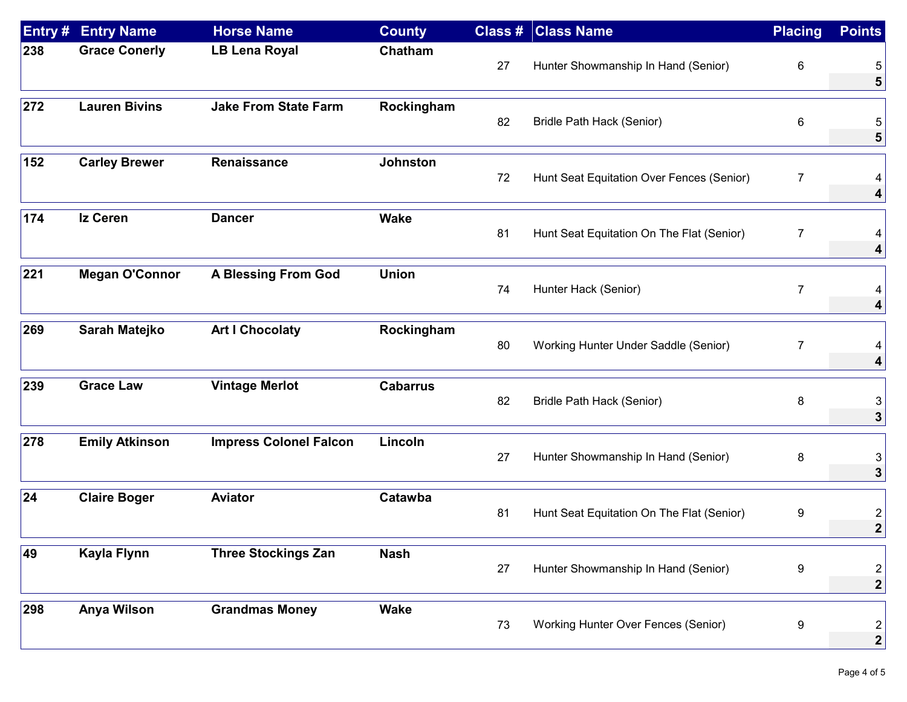| Entry# | <b>Entry Name</b>     | <b>Horse Name</b>             | <b>County</b>   |    | <b>Class # Class Name</b>                 | <b>Placing</b>   | <b>Points</b>                             |
|--------|-----------------------|-------------------------------|-----------------|----|-------------------------------------------|------------------|-------------------------------------------|
| 238    | <b>Grace Conerly</b>  | <b>LB Lena Royal</b>          | Chatham         | 27 | Hunter Showmanship In Hand (Senior)       | $\,6$            | 5                                         |
| 272    | <b>Lauren Bivins</b>  | <b>Jake From State Farm</b>   | Rockingham      | 82 | Bridle Path Hack (Senior)                 | 6                | 5                                         |
| 152    | <b>Carley Brewer</b>  | Renaissance                   | <b>Johnston</b> | 72 | Hunt Seat Equitation Over Fences (Senior) | $\overline{7}$   | 4                                         |
| 174    | <b>Iz Ceren</b>       | <b>Dancer</b>                 | <b>Wake</b>     | 81 | Hunt Seat Equitation On The Flat (Senior) | $\overline{7}$   | 4                                         |
| 221    | <b>Megan O'Connor</b> | <b>A Blessing From God</b>    | <b>Union</b>    | 74 | Hunter Hack (Senior)                      | $\overline{7}$   | 4<br>4                                    |
| 269    | Sarah Matejko         | <b>Art I Chocolaty</b>        | Rockingham      | 80 | Working Hunter Under Saddle (Senior)      | $\overline{7}$   | 4<br>4                                    |
| 239    | <b>Grace Law</b>      | <b>Vintage Merlot</b>         | <b>Cabarrus</b> | 82 | <b>Bridle Path Hack (Senior)</b>          | 8                | 3<br>3                                    |
| 278    | <b>Emily Atkinson</b> | <b>Impress Colonel Falcon</b> | Lincoln         | 27 | Hunter Showmanship In Hand (Senior)       | 8                | 3<br>3                                    |
| 24     | <b>Claire Boger</b>   | <b>Aviator</b>                | Catawba         | 81 | Hunt Seat Equitation On The Flat (Senior) | 9                | $\overline{\mathbf{c}}$<br>$\overline{2}$ |
| 49     | Kayla Flynn           | <b>Three Stockings Zan</b>    | <b>Nash</b>     | 27 | Hunter Showmanship In Hand (Senior)       | $\boldsymbol{9}$ | $\overline{2}$<br>$\boldsymbol{2}$        |
| 298    | <b>Anya Wilson</b>    | <b>Grandmas Money</b>         | <b>Wake</b>     | 73 | Working Hunter Over Fences (Senior)       | $\boldsymbol{9}$ | $\overline{2}$<br>$\boldsymbol{2}$        |